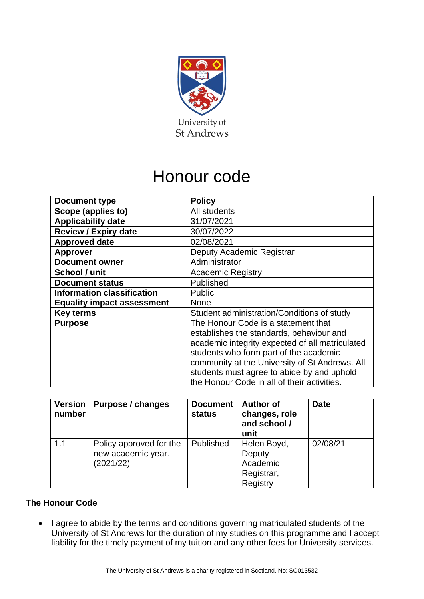

## Honour code

| <b>Document type</b>              | <b>Policy</b>                                                                                                                                                                                                                                                                                                               |  |  |
|-----------------------------------|-----------------------------------------------------------------------------------------------------------------------------------------------------------------------------------------------------------------------------------------------------------------------------------------------------------------------------|--|--|
| Scope (applies to)                | All students                                                                                                                                                                                                                                                                                                                |  |  |
| <b>Applicability date</b>         | 31/07/2021                                                                                                                                                                                                                                                                                                                  |  |  |
| <b>Review / Expiry date</b>       | 30/07/2022                                                                                                                                                                                                                                                                                                                  |  |  |
| <b>Approved date</b>              | 02/08/2021                                                                                                                                                                                                                                                                                                                  |  |  |
| <b>Approver</b>                   | Deputy Academic Registrar                                                                                                                                                                                                                                                                                                   |  |  |
| <b>Document owner</b>             | Administrator                                                                                                                                                                                                                                                                                                               |  |  |
| School / unit                     | <b>Academic Registry</b>                                                                                                                                                                                                                                                                                                    |  |  |
| <b>Document status</b>            | Published                                                                                                                                                                                                                                                                                                                   |  |  |
| <b>Information classification</b> | <b>Public</b>                                                                                                                                                                                                                                                                                                               |  |  |
| <b>Equality impact assessment</b> | <b>None</b>                                                                                                                                                                                                                                                                                                                 |  |  |
| Key terms                         | Student administration/Conditions of study                                                                                                                                                                                                                                                                                  |  |  |
| <b>Purpose</b>                    | The Honour Code is a statement that<br>establishes the standards, behaviour and<br>academic integrity expected of all matriculated<br>students who form part of the academic<br>community at the University of St Andrews. All<br>students must agree to abide by and uphold<br>the Honour Code in all of their activities. |  |  |

| <b>Version</b><br>number | Purpose / changes                                          | <b>Document</b><br>status | <b>Author of</b><br>changes, role<br>and school /<br>unit   | <b>Date</b> |
|--------------------------|------------------------------------------------------------|---------------------------|-------------------------------------------------------------|-------------|
| 1.1                      | Policy approved for the<br>new academic year.<br>(2021/22) | Published                 | Helen Boyd,<br>Deputy<br>Academic<br>Registrar,<br>Registry | 02/08/21    |

## **The Honour Code**

• I agree to abide by the terms and conditions governing matriculated students of the University of St Andrews for the duration of my studies on this programme and I accept liability for the timely payment of my tuition and any other fees for University services.